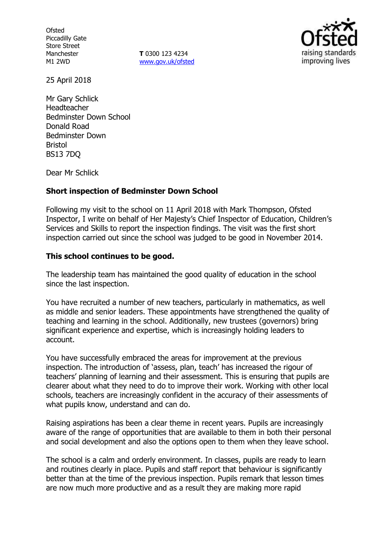**Ofsted** Piccadilly Gate Store Street Manchester M1 2WD

**T** 0300 123 4234 www.gov.uk/ofsted



25 April 2018

Mr Gary Schlick Headteacher Bedminster Down School Donald Road Bedminster Down Bristol BS13 7DQ

Dear Mr Schlick

## **Short inspection of Bedminster Down School**

Following my visit to the school on 11 April 2018 with Mark Thompson, Ofsted Inspector, I write on behalf of Her Majesty's Chief Inspector of Education, Children's Services and Skills to report the inspection findings. The visit was the first short inspection carried out since the school was judged to be good in November 2014.

#### **This school continues to be good.**

The leadership team has maintained the good quality of education in the school since the last inspection.

You have recruited a number of new teachers, particularly in mathematics, as well as middle and senior leaders. These appointments have strengthened the quality of teaching and learning in the school. Additionally, new trustees (governors) bring significant experience and expertise, which is increasingly holding leaders to account.

You have successfully embraced the areas for improvement at the previous inspection. The introduction of 'assess, plan, teach' has increased the rigour of teachers' planning of learning and their assessment. This is ensuring that pupils are clearer about what they need to do to improve their work. Working with other local schools, teachers are increasingly confident in the accuracy of their assessments of what pupils know, understand and can do.

Raising aspirations has been a clear theme in recent years. Pupils are increasingly aware of the range of opportunities that are available to them in both their personal and social development and also the options open to them when they leave school.

The school is a calm and orderly environment. In classes, pupils are ready to learn and routines clearly in place. Pupils and staff report that behaviour is significantly better than at the time of the previous inspection. Pupils remark that lesson times are now much more productive and as a result they are making more rapid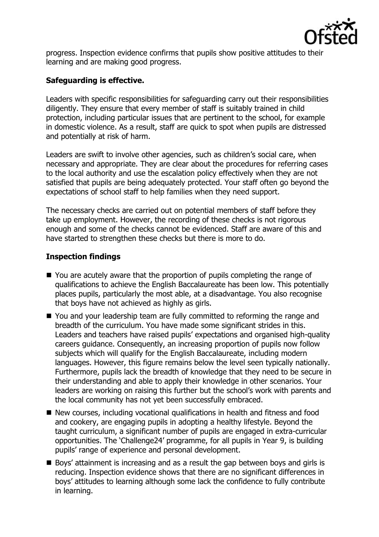

progress. Inspection evidence confirms that pupils show positive attitudes to their learning and are making good progress.

# **Safeguarding is effective.**

Leaders with specific responsibilities for safeguarding carry out their responsibilities diligently. They ensure that every member of staff is suitably trained in child protection, including particular issues that are pertinent to the school, for example in domestic violence. As a result, staff are quick to spot when pupils are distressed and potentially at risk of harm.

Leaders are swift to involve other agencies, such as children's social care, when necessary and appropriate. They are clear about the procedures for referring cases to the local authority and use the escalation policy effectively when they are not satisfied that pupils are being adequately protected. Your staff often go beyond the expectations of school staff to help families when they need support.

The necessary checks are carried out on potential members of staff before they take up employment. However, the recording of these checks is not rigorous enough and some of the checks cannot be evidenced. Staff are aware of this and have started to strengthen these checks but there is more to do.

## **Inspection findings**

- You are acutely aware that the proportion of pupils completing the range of qualifications to achieve the English Baccalaureate has been low. This potentially places pupils, particularly the most able, at a disadvantage. You also recognise that boys have not achieved as highly as girls.
- You and your leadership team are fully committed to reforming the range and breadth of the curriculum. You have made some significant strides in this. Leaders and teachers have raised pupils' expectations and organised high-quality careers guidance. Consequently, an increasing proportion of pupils now follow subjects which will qualify for the English Baccalaureate, including modern languages. However, this figure remains below the level seen typically nationally. Furthermore, pupils lack the breadth of knowledge that they need to be secure in their understanding and able to apply their knowledge in other scenarios. Your leaders are working on raising this further but the school's work with parents and the local community has not yet been successfully embraced.
- New courses, including vocational qualifications in health and fitness and food and cookery, are engaging pupils in adopting a healthy lifestyle. Beyond the taught curriculum, a significant number of pupils are engaged in extra-curricular opportunities. The 'Challenge24' programme, for all pupils in Year 9, is building pupils' range of experience and personal development.
- Boys' attainment is increasing and as a result the gap between boys and girls is reducing. Inspection evidence shows that there are no significant differences in boys' attitudes to learning although some lack the confidence to fully contribute in learning.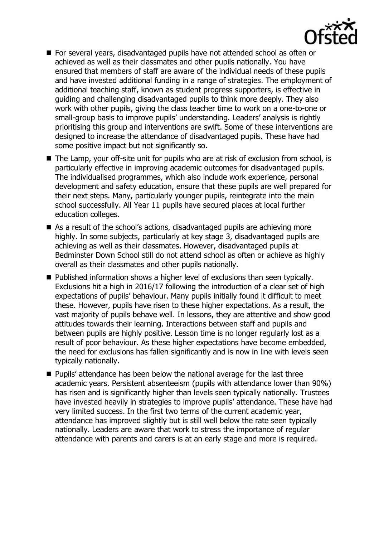

- **For several years, disadvantaged pupils have not attended school as often or** achieved as well as their classmates and other pupils nationally. You have ensured that members of staff are aware of the individual needs of these pupils and have invested additional funding in a range of strategies. The employment of additional teaching staff, known as student progress supporters, is effective in guiding and challenging disadvantaged pupils to think more deeply. They also work with other pupils, giving the class teacher time to work on a one-to-one or small-group basis to improve pupils' understanding. Leaders' analysis is rightly prioritising this group and interventions are swift. Some of these interventions are designed to increase the attendance of disadvantaged pupils. These have had some positive impact but not significantly so.
- The Lamp, your off-site unit for pupils who are at risk of exclusion from school, is particularly effective in improving academic outcomes for disadvantaged pupils. The individualised programmes, which also include work experience, personal development and safety education, ensure that these pupils are well prepared for their next steps. Many, particularly younger pupils, reintegrate into the main school successfully. All Year 11 pupils have secured places at local further education colleges.
- As a result of the school's actions, disadvantaged pupils are achieving more highly. In some subjects, particularly at key stage 3, disadvantaged pupils are achieving as well as their classmates. However, disadvantaged pupils at Bedminster Down School still do not attend school as often or achieve as highly overall as their classmates and other pupils nationally.
- Published information shows a higher level of exclusions than seen typically. Exclusions hit a high in 2016/17 following the introduction of a clear set of high expectations of pupils' behaviour. Many pupils initially found it difficult to meet these. However, pupils have risen to these higher expectations. As a result, the vast majority of pupils behave well. In lessons, they are attentive and show good attitudes towards their learning. Interactions between staff and pupils and between pupils are highly positive. Lesson time is no longer regularly lost as a result of poor behaviour. As these higher expectations have become embedded, the need for exclusions has fallen significantly and is now in line with levels seen typically nationally.
- **Pupils' attendance has been below the national average for the last three** academic years. Persistent absenteeism (pupils with attendance lower than 90%) has risen and is significantly higher than levels seen typically nationally. Trustees have invested heavily in strategies to improve pupils' attendance. These have had very limited success. In the first two terms of the current academic year, attendance has improved slightly but is still well below the rate seen typically nationally. Leaders are aware that work to stress the importance of regular attendance with parents and carers is at an early stage and more is required.